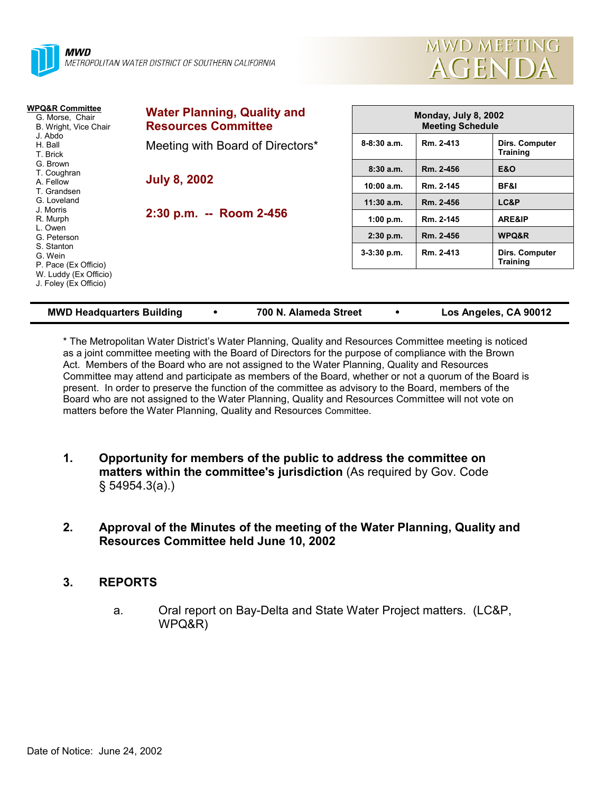



| WPQ&R Committee<br>G. Morse, Chair<br>B. Wright, Vice Chair<br>J. Abdo<br>H. Ball<br>T. Brick    | <b>Water Planning, Quality and</b><br><b>Resources Committee</b> |               | Monday, July 8, 2002<br><b>Meeting Schedule</b> |                                   |  |
|--------------------------------------------------------------------------------------------------|------------------------------------------------------------------|---------------|-------------------------------------------------|-----------------------------------|--|
|                                                                                                  | Meeting with Board of Directors*                                 | $8-8:30$ a.m. | Rm. 2-413                                       | Dirs. Computer<br><b>Training</b> |  |
| G. Brown<br>T. Coughran                                                                          |                                                                  | 8:30a.m.      | Rm. 2-456                                       | <b>E&amp;O</b>                    |  |
| A. Fellow<br>T. Grandsen                                                                         | <b>July 8, 2002</b>                                              | 10:00 a.m.    | Rm. 2-145                                       | BF&I                              |  |
| G. Loveland                                                                                      | 2:30 p.m. -- Room 2-456                                          | $11:30$ a.m.  | Rm. 2-456                                       | LC&P                              |  |
| J. Morris<br>R. Murph<br>L. Owen<br>G. Peterson<br>S. Stanton<br>G. Wein<br>P. Pace (Ex Officio) |                                                                  | 1:00 p.m.     | Rm. 2-145                                       | ARE&IP                            |  |
|                                                                                                  |                                                                  | $2:30$ p.m.   | Rm. 2-456                                       | WPQ&R                             |  |
|                                                                                                  |                                                                  | $3-3:30$ p.m. | Rm. 2-413                                       | Dirs. Computer<br><b>Training</b> |  |
| W. Luddy (Ex Officio)<br>J. Foley (Ex Officio)                                                   |                                                                  |               |                                                 |                                   |  |

**MWD Headquarters Building** ! **700 N. Alameda Street** ! **Los Angeles, CA 90012**

\* The Metropolitan Water Districtís Water Planning, Quality and Resources Committee meeting is noticed as a joint committee meeting with the Board of Directors for the purpose of compliance with the Brown Act. Members of the Board who are not assigned to the Water Planning, Quality and Resources Committee may attend and participate as members of the Board, whether or not a quorum of the Board is present. In order to preserve the function of the committee as advisory to the Board, members of the Board who are not assigned to the Water Planning, Quality and Resources Committee will not vote on matters before the Water Planning, Quality and Resources Committee.

- **1. Opportunity for members of the public to address the committee on matters within the committee's jurisdiction** (As required by Gov. Code ß 54954.3(a).)
- **2. Approval of the Minutes of the meeting of the Water Planning, Quality and Resources Committee held June 10, 2002**

# **3. REPORTS**

a. Oral report on Bay-Delta and State Water Project matters. (LC&P, WPQ&R)